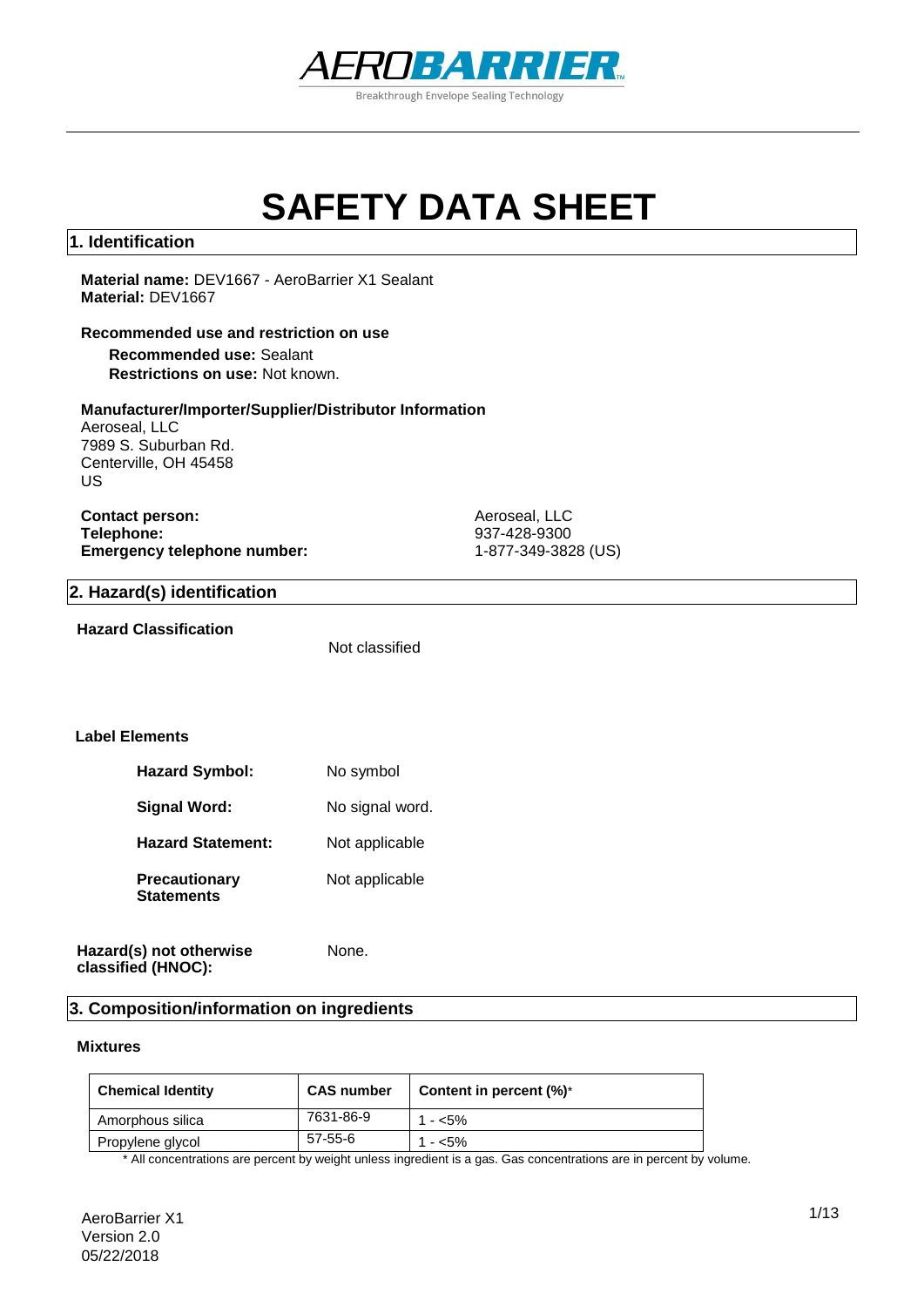

# **SAFETY DATA SHEET**

#### **1. Identification**

**Material name:** DEV1667 - AeroBarrier X1 Sealant **Material:** DEV1667

#### **Recommended use and restriction on use**

**Recommended use:** Sealant **Restrictions on use:** Not known.

#### **Manufacturer/Importer/Supplier/Distributor Information**

Aeroseal, LLC 7989 S. Suburban Rd. Centerville, OH 45458 US

**Contact person:** Aeroseal, LLC<br> **Telephone:** 937-428-9300 **Emergency telephone number:** 

937-428-9300<br>1-877-349-3828 (US)

#### **2. Hazard(s) identification**

#### **Hazard Classification**

Not classified

None.

#### **Label Elements**

| No symbol       |
|-----------------|
| No signal word. |
| Not applicable  |
| Not applicable  |
|                 |

#### **Hazard(s) not otherwise classified (HNOC):**

#### **3. Composition/information on ingredients**

#### **Mixtures**

| <b>Chemical Identity</b> | <b>CAS number</b> | Content in percent $(\%)^*$ |
|--------------------------|-------------------|-----------------------------|
| Amorphous silica         | 7631-86-9         | 1 - $<$ 5%                  |
| Propylene glycol         | 57-55-6           | 1 - <5%                     |

\* All concentrations are percent by weight unless ingredient is a gas. Gas concentrations are in percent by volume.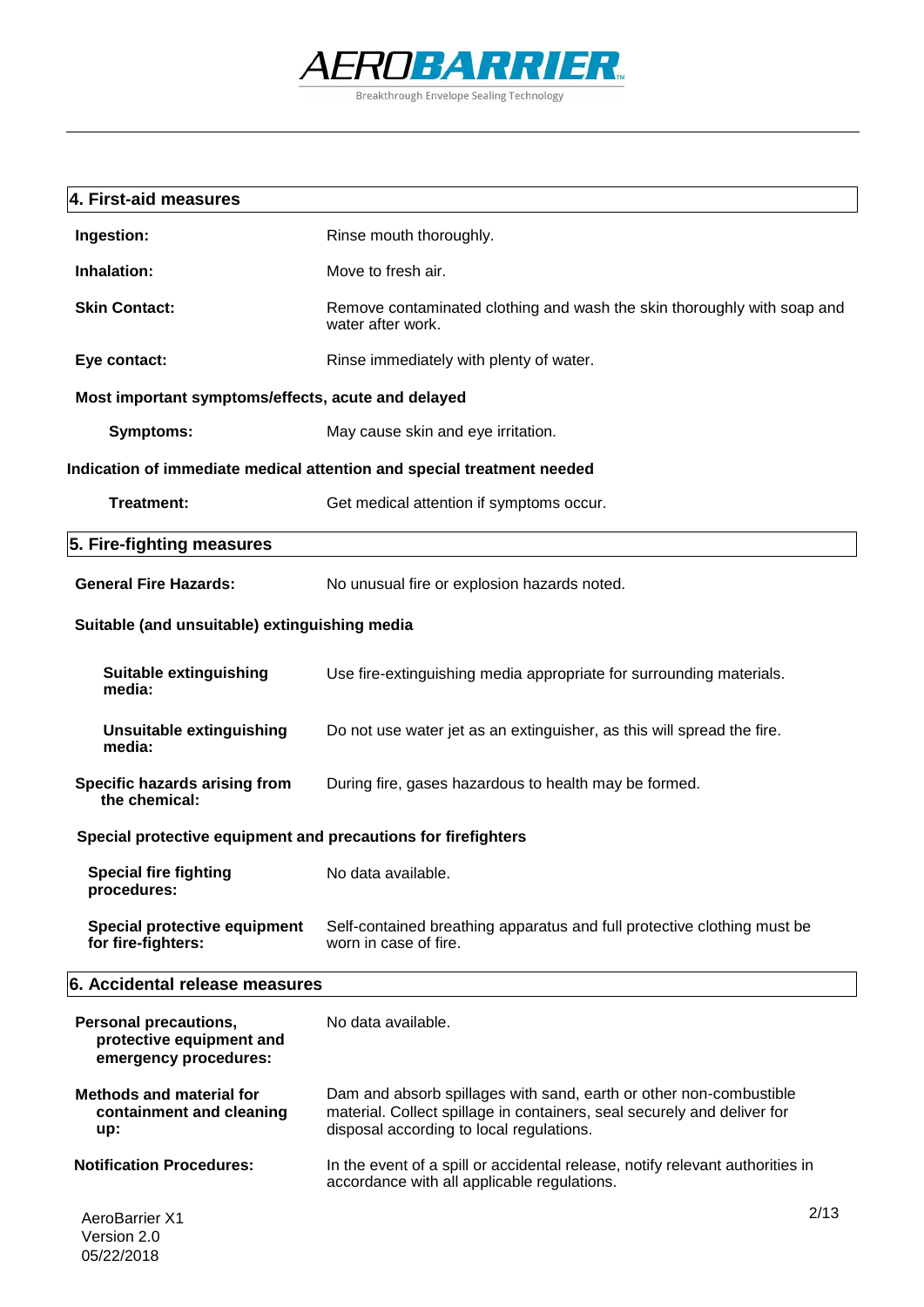

| 4. First-aid measures                                                      |                                                                                                                                                                                           |
|----------------------------------------------------------------------------|-------------------------------------------------------------------------------------------------------------------------------------------------------------------------------------------|
| Ingestion:                                                                 | Rinse mouth thoroughly.                                                                                                                                                                   |
| Inhalation:                                                                | Move to fresh air.                                                                                                                                                                        |
| <b>Skin Contact:</b>                                                       | Remove contaminated clothing and wash the skin thoroughly with soap and<br>water after work.                                                                                              |
| Eye contact:                                                               | Rinse immediately with plenty of water.                                                                                                                                                   |
| Most important symptoms/effects, acute and delayed                         |                                                                                                                                                                                           |
| <b>Symptoms:</b>                                                           | May cause skin and eye irritation.                                                                                                                                                        |
|                                                                            | Indication of immediate medical attention and special treatment needed                                                                                                                    |
| <b>Treatment:</b>                                                          | Get medical attention if symptoms occur.                                                                                                                                                  |
| 5. Fire-fighting measures                                                  |                                                                                                                                                                                           |
| <b>General Fire Hazards:</b>                                               | No unusual fire or explosion hazards noted.                                                                                                                                               |
| Suitable (and unsuitable) extinguishing media                              |                                                                                                                                                                                           |
| <b>Suitable extinguishing</b><br>media:                                    | Use fire-extinguishing media appropriate for surrounding materials.                                                                                                                       |
| <b>Unsuitable extinguishing</b><br>media:                                  | Do not use water jet as an extinguisher, as this will spread the fire.                                                                                                                    |
| Specific hazards arising from<br>the chemical:                             | During fire, gases hazardous to health may be formed.                                                                                                                                     |
| Special protective equipment and precautions for firefighters              |                                                                                                                                                                                           |
| <b>Special fire fighting</b><br>procedures:                                | No data available.                                                                                                                                                                        |
| Special protective equipment<br>for fire-fighters:                         | Self-contained breathing apparatus and full protective clothing must be<br>worn in case of fire.                                                                                          |
| 6. Accidental release measures                                             |                                                                                                                                                                                           |
| Personal precautions,<br>protective equipment and<br>emergency procedures: | No data available.                                                                                                                                                                        |
| <b>Methods and material for</b><br>containment and cleaning<br>up:         | Dam and absorb spillages with sand, earth or other non-combustible<br>material. Collect spillage in containers, seal securely and deliver for<br>disposal according to local regulations. |
| <b>Notification Procedures:</b>                                            | In the event of a spill or accidental release, notify relevant authorities in<br>accordance with all applicable regulations.                                                              |
| <b>AeroBarrier X1</b><br>$V$ arejon $20$                                   | 2/13                                                                                                                                                                                      |

#### Version 2.0 05/22/2018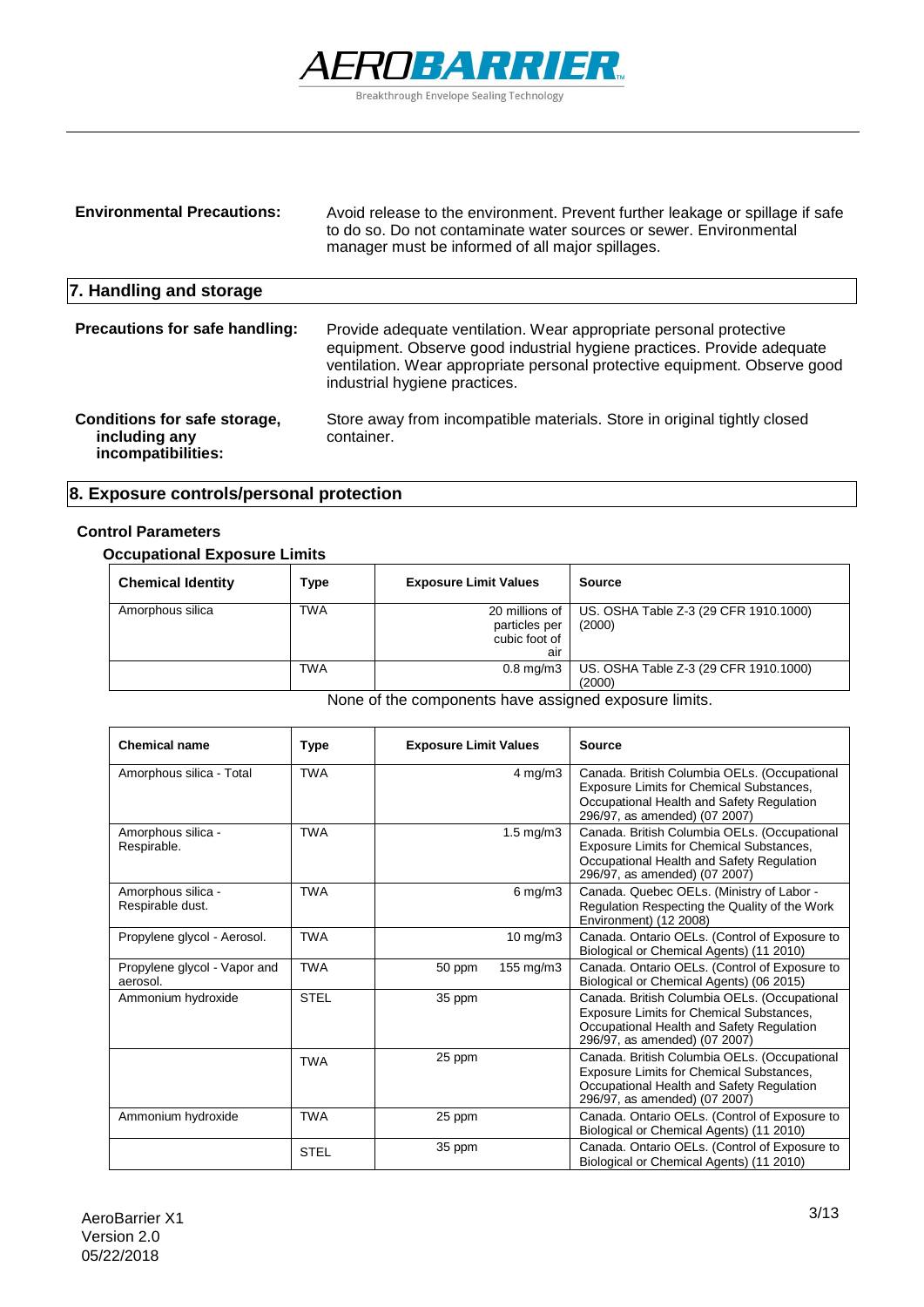

| <b>Environmental Precautions:</b>                                   | Avoid release to the environment. Prevent further leakage or spillage if safe<br>to do so. Do not contaminate water sources or sewer. Environmental<br>manager must be informed of all major spillages.                                                    |
|---------------------------------------------------------------------|------------------------------------------------------------------------------------------------------------------------------------------------------------------------------------------------------------------------------------------------------------|
| 7. Handling and storage                                             |                                                                                                                                                                                                                                                            |
| <b>Precautions for safe handling:</b>                               | Provide adequate ventilation. Wear appropriate personal protective<br>equipment. Observe good industrial hygiene practices. Provide adequate<br>ventilation. Wear appropriate personal protective equipment. Observe good<br>industrial hygiene practices. |
| Conditions for safe storage,<br>including any<br>incompatibilities: | Store away from incompatible materials. Store in original tightly closed<br>container.                                                                                                                                                                     |

### **8. Exposure controls/personal protection**

#### **Control Parameters**

#### **Occupational Exposure Limits**

| <b>Chemical Identity</b> | Type       | <b>Exposure Limit Values</b>                            | <b>Source</b>                                   |
|--------------------------|------------|---------------------------------------------------------|-------------------------------------------------|
| Amorphous silica         | <b>TWA</b> | 20 millions of<br>particles per<br>cubic foot of<br>air | US. OSHA Table Z-3 (29 CFR 1910.1000)<br>(2000) |
|                          | TWA        | $0.8 \text{ mg/m}$ 3                                    | US. OSHA Table Z-3 (29 CFR 1910.1000)<br>(2000) |

None of the components have assigned exposure limits.

| <b>Chemical name</b>                     | Type        | <b>Exposure Limit Values</b> | <b>Source</b>                                                                                                                                                                 |
|------------------------------------------|-------------|------------------------------|-------------------------------------------------------------------------------------------------------------------------------------------------------------------------------|
| Amorphous silica - Total                 | <b>TWA</b>  | $4 \text{ mg/m}$ 3           | Canada. British Columbia OELs. (Occupational<br><b>Exposure Limits for Chemical Substances,</b><br>Occupational Health and Safety Regulation<br>296/97, as amended) (07 2007) |
| Amorphous silica -<br>Respirable.        | <b>TWA</b>  | $1.5 \text{ mg/m}$           | Canada. British Columbia OELs. (Occupational<br><b>Exposure Limits for Chemical Substances,</b><br>Occupational Health and Safety Regulation<br>296/97, as amended) (07 2007) |
| Amorphous silica -<br>Respirable dust.   | <b>TWA</b>  | 6 mg/m $3$                   | Canada. Quebec OELs. (Ministry of Labor -<br>Regulation Respecting the Quality of the Work<br>Environment) (12 2008)                                                          |
| Propylene glycol - Aerosol.              | <b>TWA</b>  | $10$ mg/m $3$                | Canada. Ontario OELs. (Control of Exposure to<br>Biological or Chemical Agents) (11 2010)                                                                                     |
| Propylene glycol - Vapor and<br>aerosol. | <b>TWA</b>  | 155 mg/m3<br>50 ppm          | Canada. Ontario OELs. (Control of Exposure to<br>Biological or Chemical Agents) (06 2015)                                                                                     |
| Ammonium hydroxide                       | <b>STEL</b> | 35 ppm                       | Canada. British Columbia OELs. (Occupational<br>Exposure Limits for Chemical Substances,<br>Occupational Health and Safety Regulation<br>296/97, as amended) (07 2007)        |
|                                          | <b>TWA</b>  | 25 ppm                       | Canada. British Columbia OELs. (Occupational<br>Exposure Limits for Chemical Substances,<br>Occupational Health and Safety Regulation<br>296/97, as amended) (07 2007)        |
| Ammonium hydroxide                       | <b>TWA</b>  | 25 ppm                       | Canada. Ontario OELs. (Control of Exposure to<br>Biological or Chemical Agents) (11 2010)                                                                                     |
|                                          | <b>STEL</b> | 35 ppm                       | Canada. Ontario OELs. (Control of Exposure to<br>Biological or Chemical Agents) (11 2010)                                                                                     |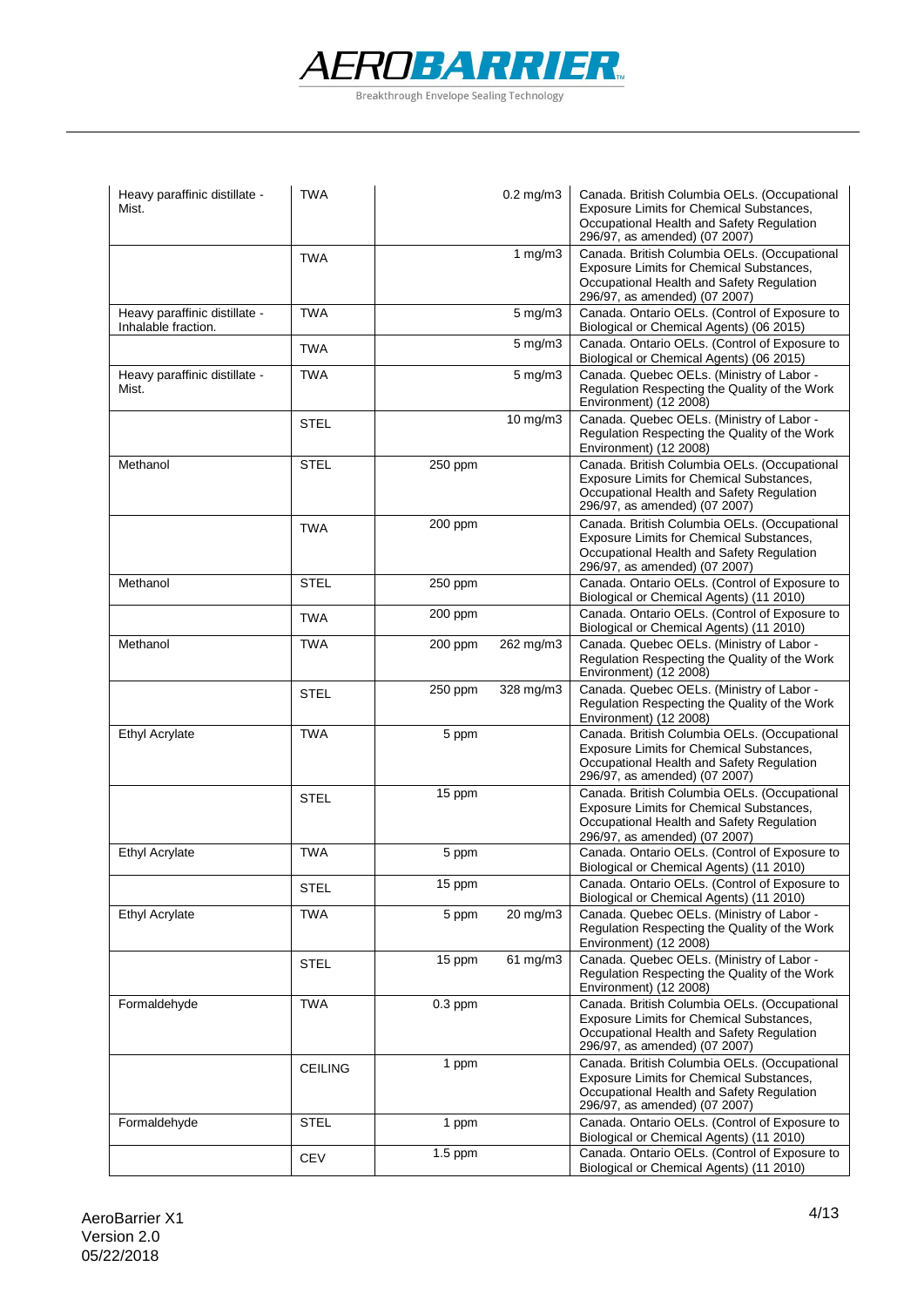

| Heavy paraffinic distillate -<br>Mist.               | <b>TWA</b>     |           | $0.2$ mg/m $3$   | Canada. British Columbia OELs. (Occupational<br>Exposure Limits for Chemical Substances,<br>Occupational Health and Safety Regulation<br>296/97, as amended) (07 2007) |
|------------------------------------------------------|----------------|-----------|------------------|------------------------------------------------------------------------------------------------------------------------------------------------------------------------|
|                                                      | <b>TWA</b>     |           | 1 $mg/m3$        | Canada. British Columbia OELs. (Occupational<br>Exposure Limits for Chemical Substances,<br>Occupational Health and Safety Regulation<br>296/97, as amended) (07 2007) |
| Heavy paraffinic distillate -<br>Inhalable fraction. | TWA            |           | $5$ mg/m $3$     | Canada. Ontario OELs. (Control of Exposure to<br>Biological or Chemical Agents) (06 2015)                                                                              |
|                                                      | <b>TWA</b>     |           | $5 \text{ mg/m}$ | Canada. Ontario OELs. (Control of Exposure to<br>Biological or Chemical Agents) (06 2015)                                                                              |
| Heavy paraffinic distillate -<br>Mist.               | TWA            |           | $5 \text{ mg/m}$ | Canada. Quebec OELs. (Ministry of Labor -<br>Regulation Respecting the Quality of the Work<br>Environment) (12 2008)                                                   |
|                                                      | <b>STEL</b>    |           | $10$ mg/m $3$    | Canada. Quebec OELs. (Ministry of Labor -<br>Regulation Respecting the Quality of the Work<br>Environment) (12 2008)                                                   |
| Methanol                                             | STEL           | 250 ppm   |                  | Canada. British Columbia OELs. (Occupational<br>Exposure Limits for Chemical Substances,<br>Occupational Health and Safety Regulation<br>296/97, as amended) (07 2007) |
|                                                      | <b>TWA</b>     | 200 ppm   |                  | Canada. British Columbia OELs. (Occupational<br>Exposure Limits for Chemical Substances,<br>Occupational Health and Safety Regulation<br>296/97, as amended) (07 2007) |
| Methanol                                             | <b>STEL</b>    | $250$ ppm |                  | Canada. Ontario OELs. (Control of Exposure to<br>Biological or Chemical Agents) (11 2010)                                                                              |
|                                                      | TWA            | 200 ppm   |                  | Canada. Ontario OELs. (Control of Exposure to<br>Biological or Chemical Agents) (11 2010)                                                                              |
| Methanol                                             | TWA            | 200 ppm   | 262 mg/m3        | Canada. Quebec OELs. (Ministry of Labor -<br>Regulation Respecting the Quality of the Work<br>Environment) (12 2008)                                                   |
|                                                      | <b>STEL</b>    | 250 ppm   | 328 mg/m3        | Canada. Quebec OELs. (Ministry of Labor -<br>Regulation Respecting the Quality of the Work<br>Environment) (12 2008)                                                   |
| <b>Ethyl Acrylate</b>                                | <b>TWA</b>     | 5 ppm     |                  | Canada. British Columbia OELs. (Occupational<br>Exposure Limits for Chemical Substances,<br>Occupational Health and Safety Regulation<br>296/97, as amended) (07 2007) |
|                                                      | <b>STEL</b>    | 15 ppm    |                  | Canada. British Columbia OELs. (Occupational<br>Exposure Limits for Chemical Substances,<br>Occupational Health and Safety Regulation<br>296/97, as amended) (07 2007) |
| <b>Ethyl Acrylate</b>                                | <b>TWA</b>     | 5 ppm     |                  | Canada. Ontario OELs. (Control of Exposure to<br>Biological or Chemical Agents) (11 2010)                                                                              |
|                                                      | <b>STEL</b>    | 15 ppm    |                  | Canada. Ontario OELs. (Control of Exposure to<br>Biological or Chemical Agents) (11 2010)                                                                              |
| <b>Ethyl Acrylate</b>                                | <b>TWA</b>     | 5 ppm     | 20 mg/m3         | Canada. Quebec OELs. (Ministry of Labor -<br>Regulation Respecting the Quality of the Work<br>Environment) (12 2008)                                                   |
|                                                      | <b>STEL</b>    | 15 ppm    | $61$ mg/m $3$    | Canada. Quebec OELs. (Ministry of Labor -<br>Regulation Respecting the Quality of the Work<br>Environment) (12 2008)                                                   |
| Formaldehyde                                         | <b>TWA</b>     | $0.3$ ppm |                  | Canada. British Columbia OELs. (Occupational<br>Exposure Limits for Chemical Substances,<br>Occupational Health and Safety Regulation<br>296/97, as amended) (07 2007) |
|                                                      | <b>CEILING</b> | 1 ppm     |                  | Canada. British Columbia OELs. (Occupational<br>Exposure Limits for Chemical Substances,<br>Occupational Health and Safety Regulation<br>296/97, as amended) (07 2007) |
| Formaldehyde                                         | <b>STEL</b>    | 1 ppm     |                  | Canada. Ontario OELs. (Control of Exposure to<br>Biological or Chemical Agents) (11 2010)                                                                              |
|                                                      | <b>CEV</b>     | $1.5$ ppm |                  | Canada. Ontario OELs. (Control of Exposure to<br>Biological or Chemical Agents) (11 2010)                                                                              |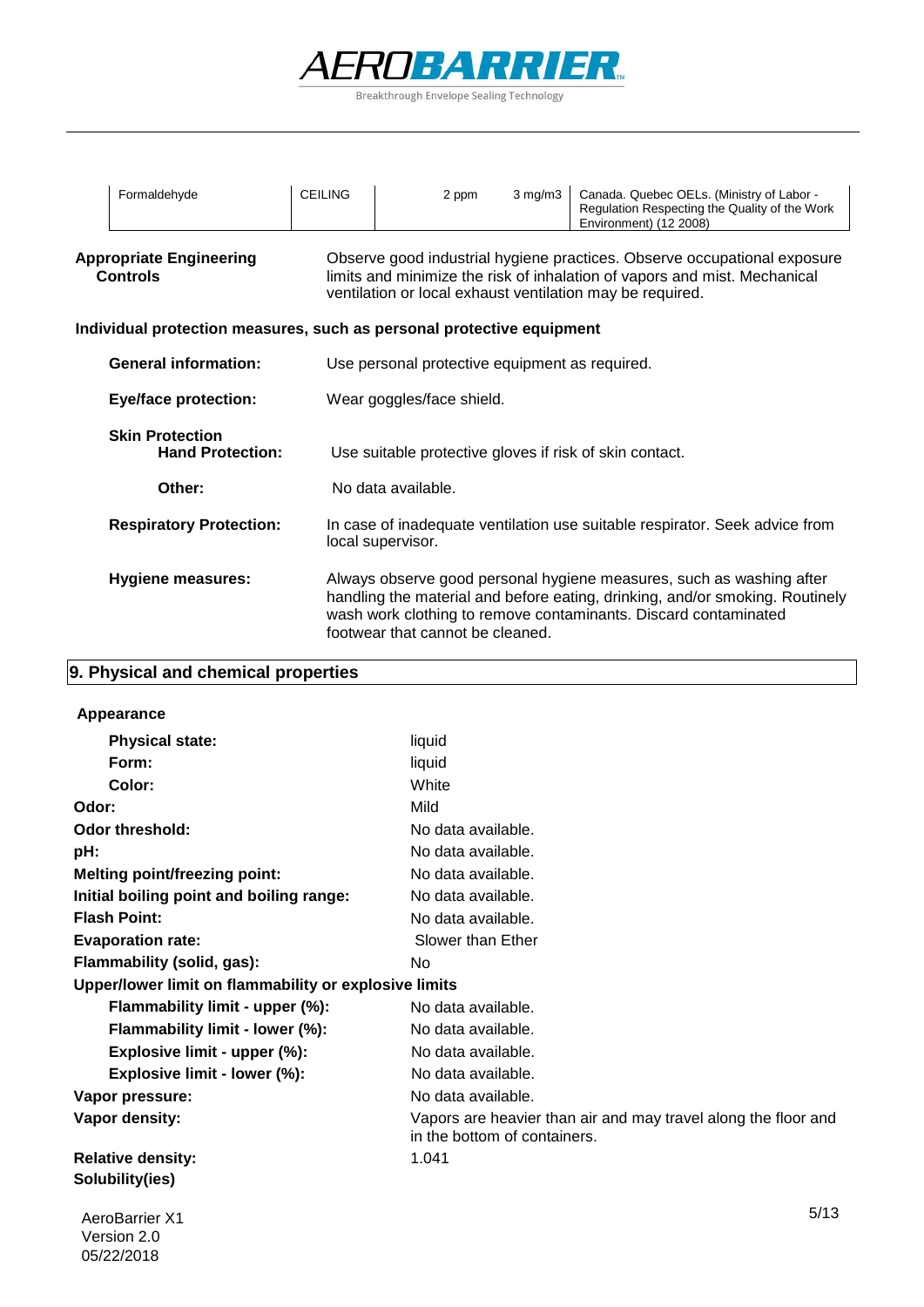

| Formaldehyde                                                          | <b>CEILING</b> | 2 ppm                                                   | $3 \text{ mg/m}$ | Canada. Quebec OELs. (Ministry of Labor -<br>Regulation Respecting the Quality of the Work<br>Environment) (12 2008)                                                                                                    |
|-----------------------------------------------------------------------|----------------|---------------------------------------------------------|------------------|-------------------------------------------------------------------------------------------------------------------------------------------------------------------------------------------------------------------------|
| <b>Appropriate Engineering</b><br><b>Controls</b>                     |                |                                                         |                  | Observe good industrial hygiene practices. Observe occupational exposure<br>limits and minimize the risk of inhalation of vapors and mist. Mechanical<br>ventilation or local exhaust ventilation may be required.      |
| Individual protection measures, such as personal protective equipment |                |                                                         |                  |                                                                                                                                                                                                                         |
| <b>General information:</b>                                           |                | Use personal protective equipment as required.          |                  |                                                                                                                                                                                                                         |
| <b>Eye/face protection:</b>                                           |                | Wear goggles/face shield.                               |                  |                                                                                                                                                                                                                         |
| <b>Skin Protection</b><br><b>Hand Protection:</b>                     |                | Use suitable protective gloves if risk of skin contact. |                  |                                                                                                                                                                                                                         |
| Other:                                                                |                | No data available.                                      |                  |                                                                                                                                                                                                                         |
| <b>Respiratory Protection:</b>                                        |                | local supervisor.                                       |                  | In case of inadequate ventilation use suitable respirator. Seek advice from                                                                                                                                             |
| Hygiene measures:                                                     |                | footwear that cannot be cleaned.                        |                  | Always observe good personal hygiene measures, such as washing after<br>handling the material and before eating, drinking, and/or smoking. Routinely<br>wash work clothing to remove contaminants. Discard contaminated |

## **9. Physical and chemical properties**

#### **Appearance**

| <b>Physical state:</b>                                | liquid                                                                                         |
|-------------------------------------------------------|------------------------------------------------------------------------------------------------|
| Form:                                                 | liquid                                                                                         |
| Color:                                                | White                                                                                          |
| Odor:                                                 | Mild                                                                                           |
| <b>Odor threshold:</b>                                | No data available.                                                                             |
| pH:                                                   | No data available.                                                                             |
| <b>Melting point/freezing point:</b>                  | No data available.                                                                             |
| Initial boiling point and boiling range:              | No data available.                                                                             |
| <b>Flash Point:</b>                                   | No data available.                                                                             |
| <b>Evaporation rate:</b>                              | Slower than Ether                                                                              |
| Flammability (solid, gas):                            | No                                                                                             |
| Upper/lower limit on flammability or explosive limits |                                                                                                |
| Flammability limit - upper (%):                       | No data available.                                                                             |
| Flammability limit - lower (%):                       | No data available.                                                                             |
| Explosive limit - upper (%):                          | No data available.                                                                             |
| Explosive limit - lower (%):                          | No data available.                                                                             |
| Vapor pressure:                                       | No data available.                                                                             |
| Vapor density:                                        | Vapors are heavier than air and may travel along the floor and<br>in the bottom of containers. |
| <b>Relative density:</b>                              | 1.041                                                                                          |
| Solubility(ies)                                       |                                                                                                |
| <b>AeroBarrier X1</b>                                 | 5/13                                                                                           |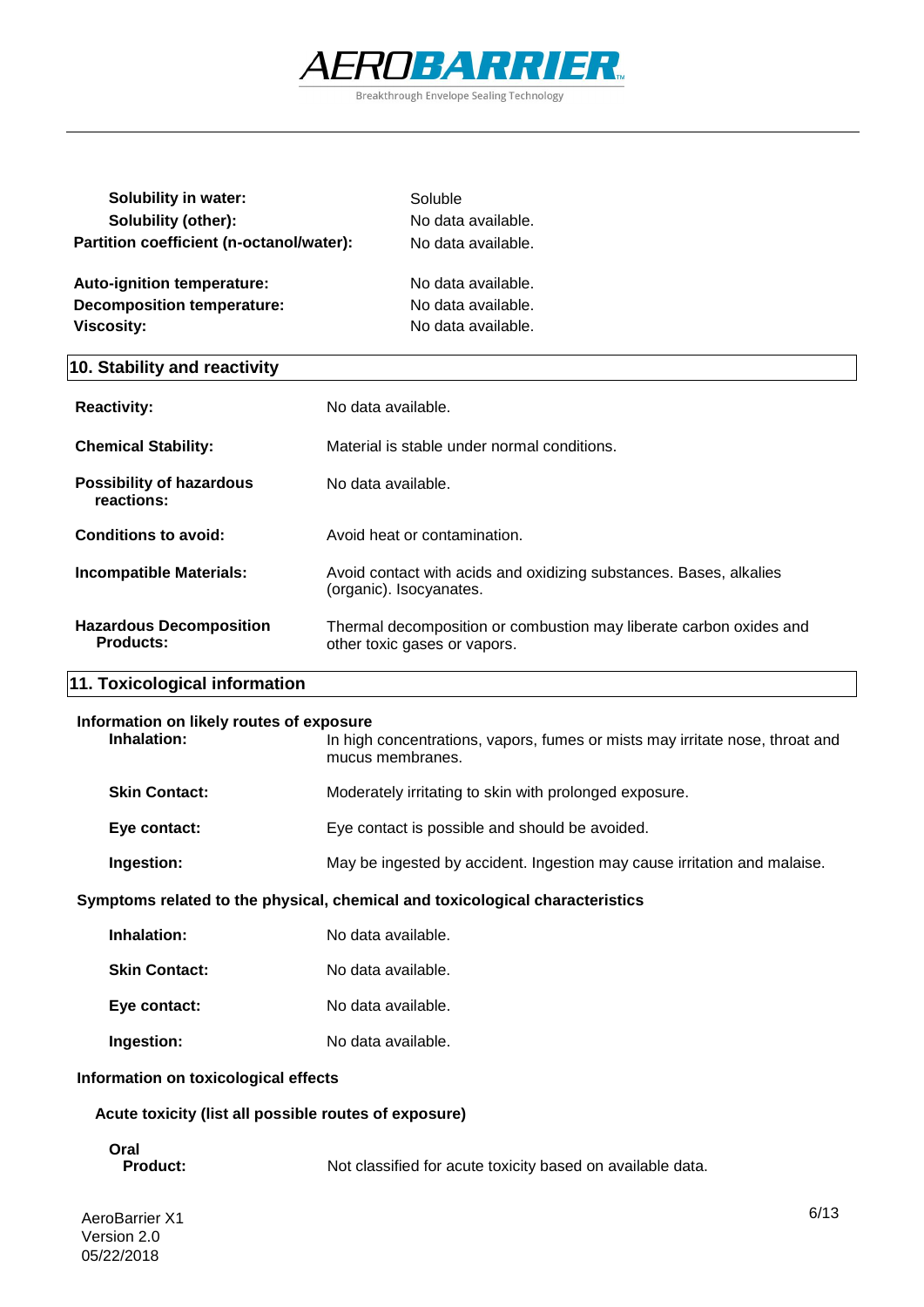

| <b>Solubility in water:</b>              | Soluble            |
|------------------------------------------|--------------------|
| Solubility (other):                      | No data available. |
| Partition coefficient (n-octanol/water): | No data available. |
| Auto-ignition temperature:               | No data available. |
| <b>Decomposition temperature:</b>        | No data available. |
| <b>Viscosity:</b>                        | No data available. |
|                                          |                    |

#### **10. Stability and reactivity**

| <b>Reactivity:</b>                                 | No data available.                                                                                 |
|----------------------------------------------------|----------------------------------------------------------------------------------------------------|
| <b>Chemical Stability:</b>                         | Material is stable under normal conditions.                                                        |
| <b>Possibility of hazardous</b><br>reactions:      | No data available.                                                                                 |
| Conditions to avoid:                               | Avoid heat or contamination.                                                                       |
| <b>Incompatible Materials:</b>                     | Avoid contact with acids and oxidizing substances. Bases, alkalies<br>(organic). Isocyanates.      |
| <b>Hazardous Decomposition</b><br><b>Products:</b> | Thermal decomposition or combustion may liberate carbon oxides and<br>other toxic gases or vapors. |

#### **11. Toxicological information**

#### **Information on likely routes of exposure**

| Inhalation:          | In high concentrations, vapors, fumes or mists may irritate nose, throat and<br>mucus membranes. |
|----------------------|--------------------------------------------------------------------------------------------------|
| <b>Skin Contact:</b> | Moderately irritating to skin with prolonged exposure.                                           |
| Eye contact:         | Eye contact is possible and should be avoided.                                                   |
| Ingestion:           | May be ingested by accident. Ingestion may cause irritation and malaise.                         |
|                      |                                                                                                  |

#### **Symptoms related to the physical, chemical and toxicological characteristics**

| Inhalation:          | No data available. |
|----------------------|--------------------|
| <b>Skin Contact:</b> | No data available. |
| Eye contact:         | No data available. |
| Ingestion:           | No data available. |

#### **Information on toxicological effects**

#### **Acute toxicity (list all possible routes of exposure)**

## **Oral**

Not classified for acute toxicity based on available data.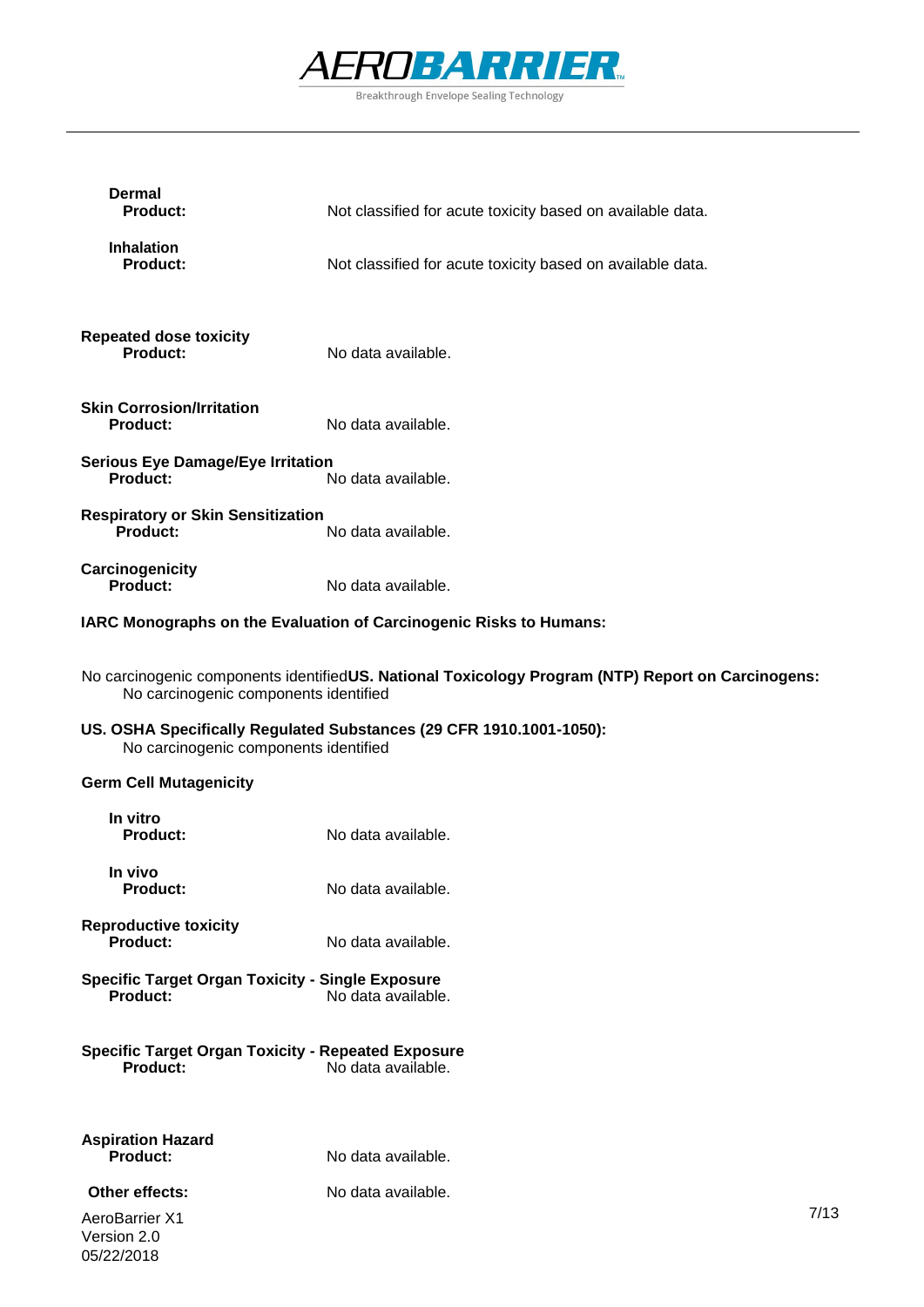

| <b>Dermal</b><br><b>Product:</b>                                             | Not classified for acute toxicity based on available data.                                        |      |
|------------------------------------------------------------------------------|---------------------------------------------------------------------------------------------------|------|
| <b>Inhalation</b><br><b>Product:</b>                                         | Not classified for acute toxicity based on available data.                                        |      |
| <b>Repeated dose toxicity</b><br><b>Product:</b>                             | No data available.                                                                                |      |
| <b>Skin Corrosion/Irritation</b><br><b>Product:</b>                          | No data available.                                                                                |      |
| <b>Serious Eye Damage/Eye Irritation</b><br>Product:                         | No data available.                                                                                |      |
| <b>Respiratory or Skin Sensitization</b><br><b>Product:</b>                  | No data available.                                                                                |      |
| Carcinogenicity<br><b>Product:</b>                                           | No data available.                                                                                |      |
|                                                                              | IARC Monographs on the Evaluation of Carcinogenic Risks to Humans:                                |      |
| No carcinogenic components identified                                        | No carcinogenic components identifiedUS. National Toxicology Program (NTP) Report on Carcinogens: |      |
| No carcinogenic components identified                                        | US. OSHA Specifically Regulated Substances (29 CFR 1910.1001-1050):                               |      |
| <b>Germ Cell Mutagenicity</b>                                                |                                                                                                   |      |
| In vitro<br><b>Product:</b>                                                  | No data available.                                                                                |      |
| In vivo<br><b>Product:</b>                                                   | No data available.                                                                                |      |
| <b>Reproductive toxicity</b><br><b>Product:</b>                              | No data available.                                                                                |      |
| <b>Specific Target Organ Toxicity - Single Exposure</b><br>Product:          | No data available.                                                                                |      |
| <b>Specific Target Organ Toxicity - Repeated Exposure</b><br><b>Product:</b> | No data available.                                                                                |      |
| <b>Aspiration Hazard</b><br>Product:                                         | No data available.                                                                                |      |
| Other effects:                                                               | No data available.                                                                                |      |
| AeroBarrier X1                                                               |                                                                                                   | 7/13 |

Version 2.0 05/22/2018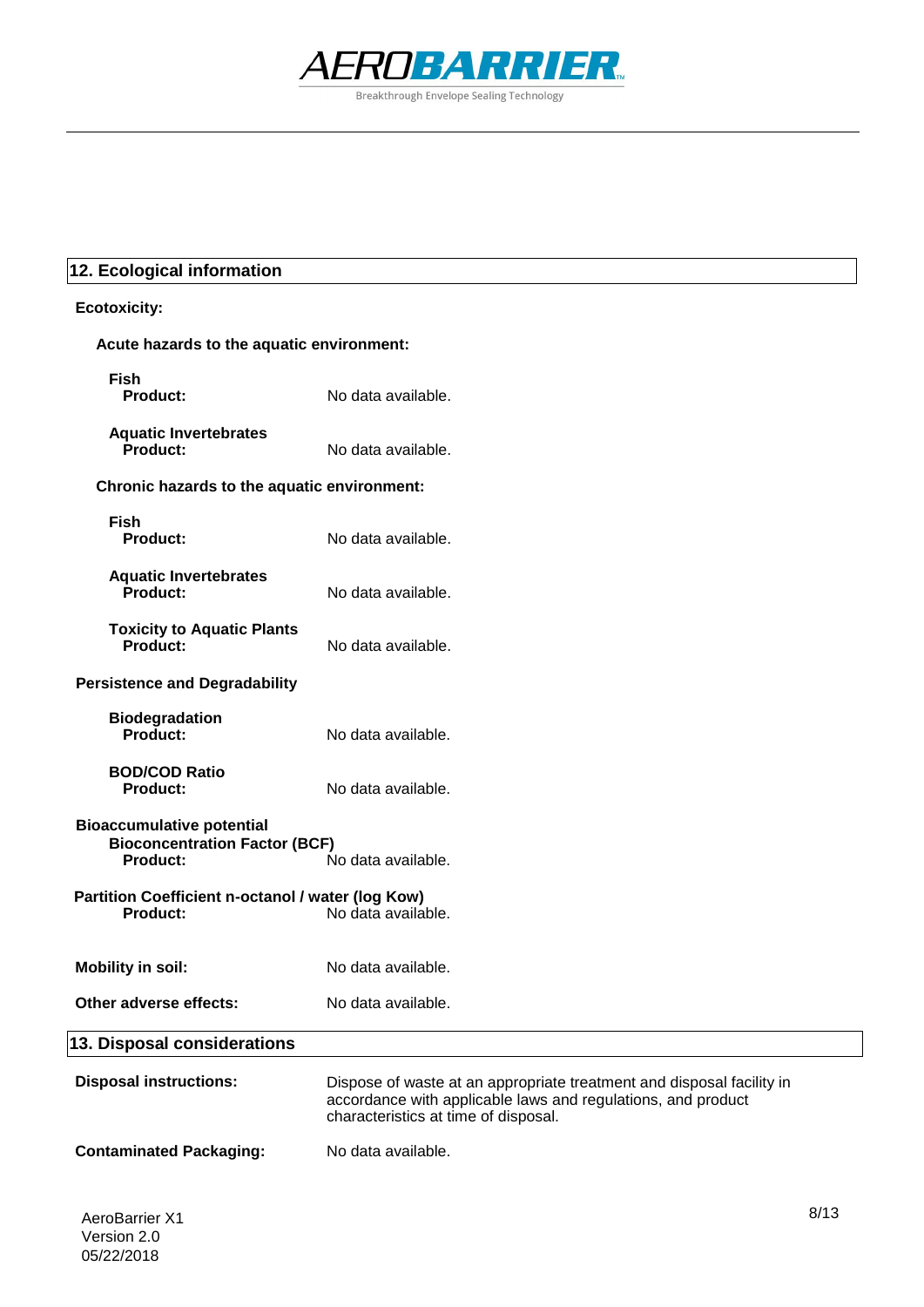

#### **12. Ecological information**

## **Ecotoxicity: Acute hazards to the aquatic environment: Fish Aquatic Invertebrates Product:** No data available. **Chronic hazards to the aquatic environment: Fish Aquatic Invertebrates Toxicity to Aquatic Plants Persistence and Degradability Biodegradation BOD/COD Ratio Product:** No data available. **Bioaccumulative potential Bioconcentration Factor (BCF)**<br>Product: **Product:** No data available. **Partition Coefficient n-octanol / water (log Kow)**<br>**No data availa**<br>No data availa **Product:** No data available. **Mobility in soil:** No data available. **Other adverse effects:** No data available. **Disposal instructions:** Dispose of waste at an appropriate treatment and disposal facility in accordance with applicable laws and regulations, and product characteristics at time of disposal. **Contaminated Packaging:** No data available. **13. Disposal considerations Product:** No data available. **Product:** No data available. **Product:** No data available. **Product:** No data available. **Product:** No data available.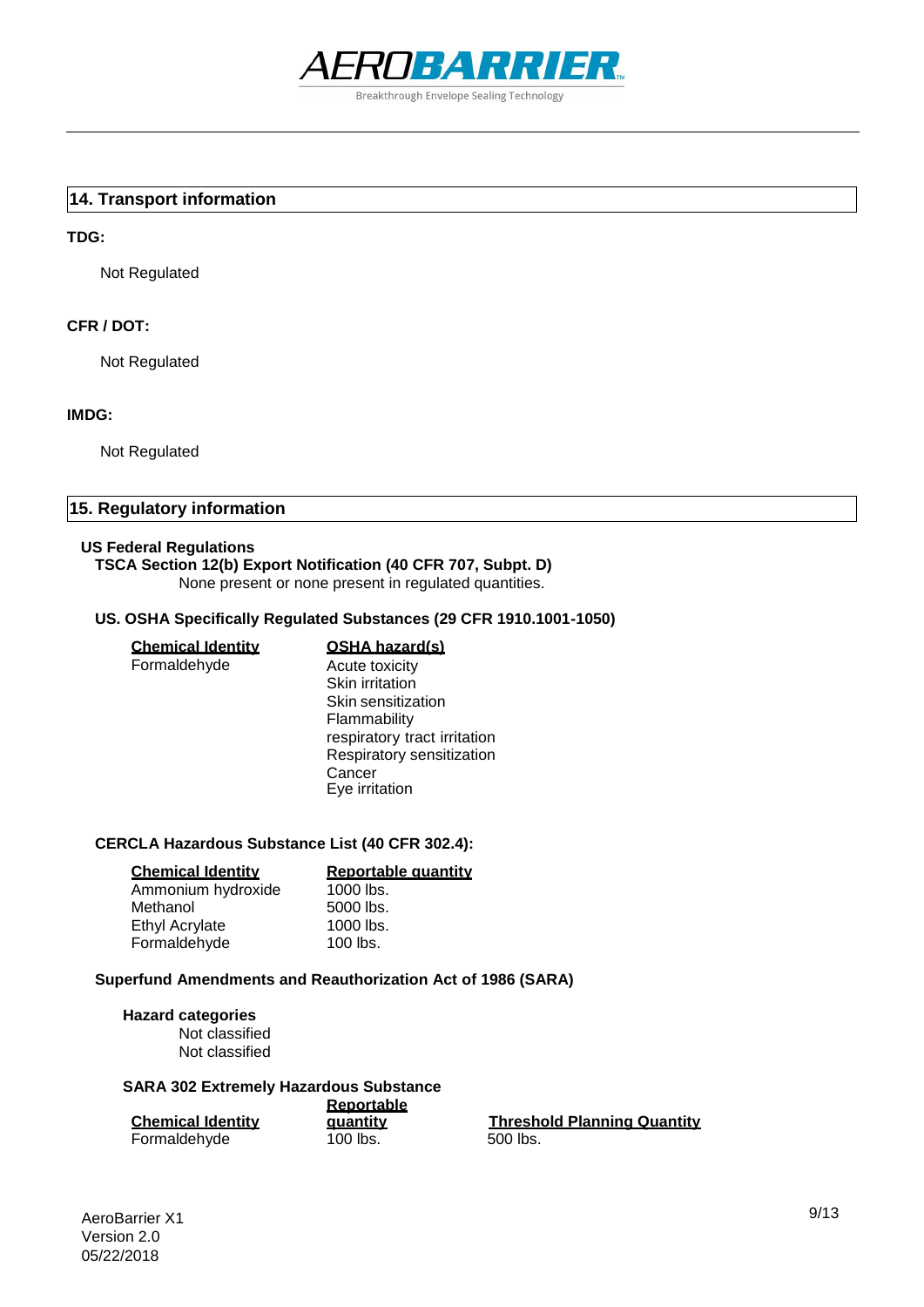

#### **14. Transport information**

#### **TDG:**

Not Regulated

#### **CFR / DOT:**

Not Regulated

#### **IMDG:**

Not Regulated

#### **15. Regulatory information**

#### **US Federal Regulations**

#### **TSCA Section 12(b) Export Notification (40 CFR 707, Subpt. D)**

None present or none present in regulated quantities.

#### **US. OSHA Specifically Regulated Substances (29 CFR 1910.1001-1050)**

**Cancer** Eye irritation

| <u>Chemical Identitv</u> | <b>OSHA hazard(s)</b>        |
|--------------------------|------------------------------|
| Formaldehyde             | Acute toxicity               |
|                          | Skin irritation              |
|                          | Skin sensitization           |
|                          | Flammability                 |
|                          | respiratory tract irritation |
|                          | Respiratory sensitization    |

#### **CERCLA Hazardous Substance List (40 CFR 302.4):**

| <b>Chemical Identity</b> | Reportable quantity |
|--------------------------|---------------------|
| Ammonium hydroxide       | 1000 lbs.           |
| Methanol                 | 5000 lbs.           |
| <b>Ethyl Acrylate</b>    | 1000 lbs.           |
| Formaldehyde             | $100$ lbs.          |

#### **Superfund Amendments and Reauthorization Act of 1986 (SARA)**

#### **Hazard categories** Not classified Not classified

#### **SARA 302 Extremely Hazardous Substance**

|                          | Reportable |
|--------------------------|------------|
| <b>Chemical Identity</b> | quantity   |
| Formaldehyde             | $100$ lbs. |

**Threshold Planning Quantity** 500 lbs.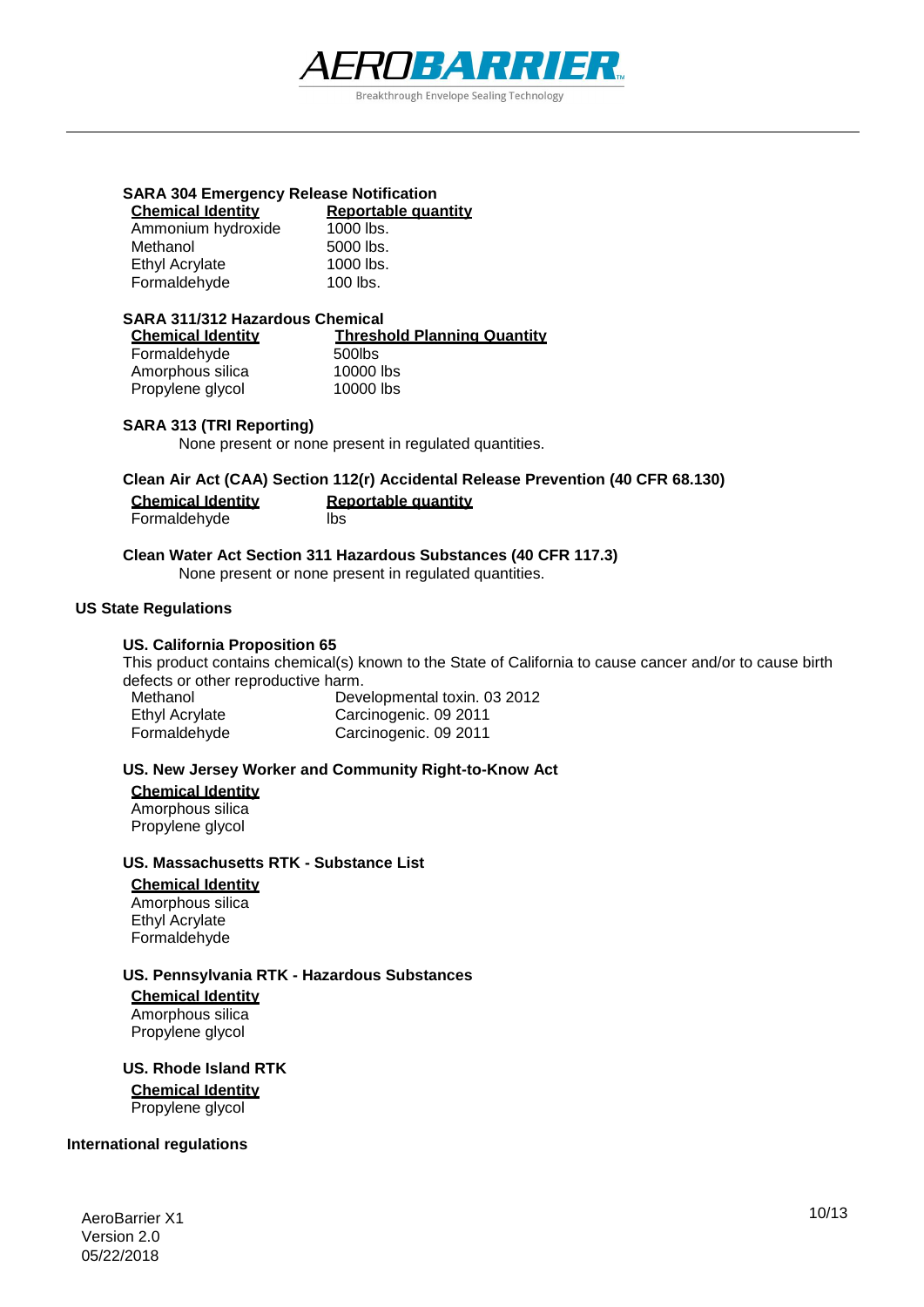

## **SARA 304 Emergency Release Notification**

| Reportable quantity |
|---------------------|
| 1000 lbs.           |
| 5000 lbs.           |
| 1000 lbs.           |
| $100$ lbs.          |
|                     |

#### **SARA 311/312 Hazardous Chemical**

| <b>Chemical Identity</b> | <b>Threshold Planning Quantity</b> |  |
|--------------------------|------------------------------------|--|
| Formaldehyde             | 500lbs                             |  |
| Amorphous silica         | 10000 lbs                          |  |
| Propylene glycol         | 10000 lbs                          |  |

#### **SARA 313 (TRI Reporting)**

None present or none present in regulated quantities.

#### **Clean Air Act (CAA) Section 112(r) Accidental Release Prevention (40 CFR 68.130)**

| <b>Chemical Identity</b> | Reportable quantity |
|--------------------------|---------------------|
| Formaldehyde             | lbs                 |

## **Clean Water Act Section 311 Hazardous Substances (40 CFR 117.3)**

None present or none present in regulated quantities.

#### **US State Regulations**

#### **US. California Proposition 65**

This product contains chemical(s) known to the State of California to cause cancer and/or to cause birth defects or other reproductive harm.

| Methanol       | Developmental toxin. 03 2012 |
|----------------|------------------------------|
| Ethyl Acrylate | Carcinogenic. 09 2011        |
| Formaldehyde   | Carcinogenic. 09 2011        |

#### **US. New Jersey Worker and Community Right-to-Know Act**

#### **Chemical Identity**

Amorphous silica Propylene glycol

#### **US. Massachusetts RTK - Substance List**

#### **Chemical Identity**

Amorphous silica Ethyl Acrylate Formaldehyde

#### **US. Pennsylvania RTK - Hazardous Substances**

**Chemical Identity** Amorphous silica Propylene glycol

**US. Rhode Island RTK**

**Chemical Identity** Propylene glycol

#### **International regulations**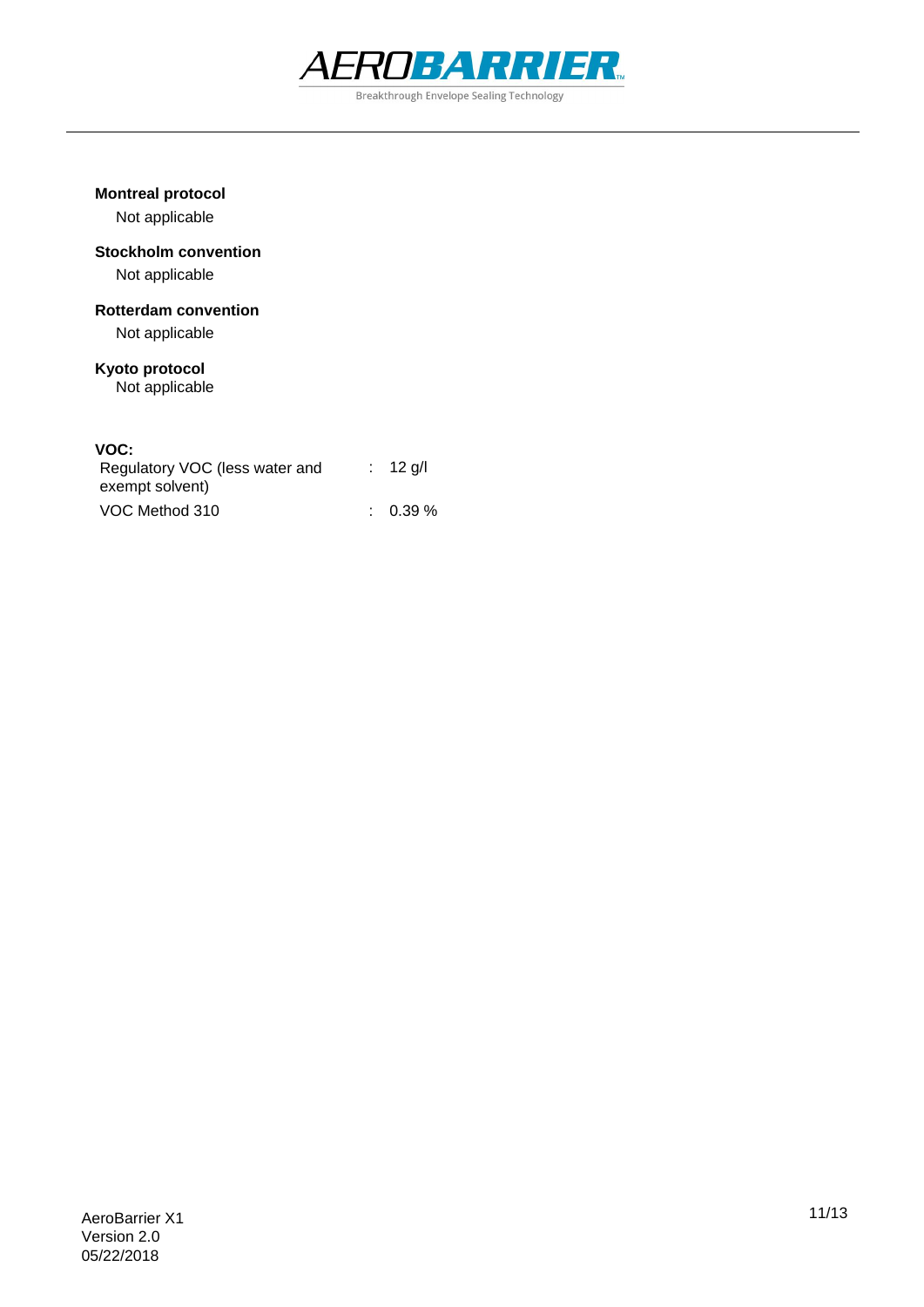

#### **Montreal protocol**

Not applicable

## **Stockholm convention**

Not applicable

### **Rotterdam convention**

Not applicable

## **Kyoto protocol**

Not applicable

#### **VOC:**

| Regulatory VOC (less water and<br>exempt solvent) | $: 12$ g/l          |
|---------------------------------------------------|---------------------|
| VOC Method 310                                    | $\therefore$ 0.39 % |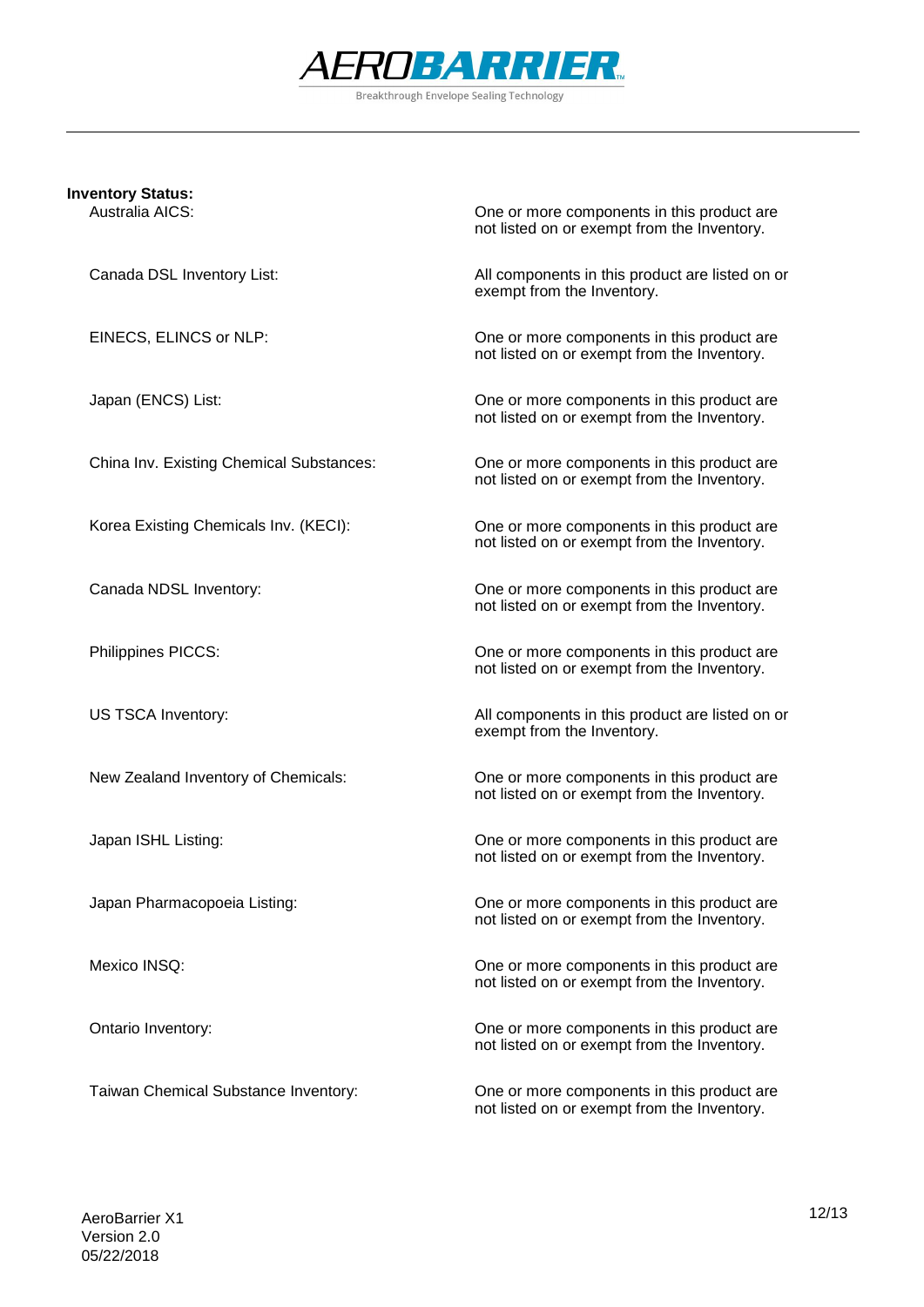

## **Inventory Status:**

One or more components in this product are not listed on or exempt from the Inventory.

Canada DSL Inventory List: All components in this product are listed on or exempt from the Inventory.

EINECS, ELINCS or NLP: One or more components in this product are not listed on or exempt from the Inventory.

Japan (ENCS) List: One or more components in this product are not listed on or exempt from the Inventory.

China Inv. Existing Chemical Substances: One or more components in this product are not listed on or exempt from the Inventory.

Korea Existing Chemicals Inv. (KECI): One or more components in this product are not listed on or exempt from the Inventory.

Canada NDSL Inventory: One or more components in this product are not listed on or exempt from the Inventory.

Philippines PICCS: One or more components in this product are not listed on or exempt from the Inventory.

US TSCA Inventory: All components in this product are listed on or exempt from the Inventory.

New Zealand Inventory of Chemicals: One or more components in this product are not listed on or exempt from the Inventory.

Japan ISHL Listing: One or more components in this product are not listed on or exempt from the Inventory.

Japan Pharmacopoeia Listing: One or more components in this product are not listed on or exempt from the Inventory.

Mexico INSQ: One or more components in this product are not listed on or exempt from the Inventory.

Ontario Inventory: One or more components in this product are not listed on or exempt from the Inventory.

Taiwan Chemical Substance Inventory: One or more components in this product are not listed on or exempt from the Inventory.